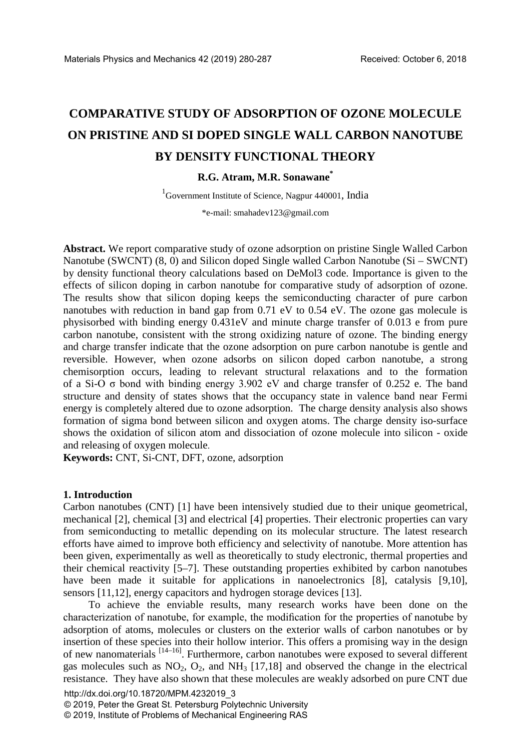# **COMPARATIVE STUDY OF ADSORPTION OF OZONE MOLECULE ON PRISTINE AND SI DOPED SINGLE WALL CARBON NANOTUBE BY DENSITY FUNCTIONAL THEORY**

**R.G. Atram, M.R. Sonawane\*** 

1 Government Institute of Science, Nagpur 440001, India

\*e-mail: smahadev123@gmail.com

**Abstract.** We report comparative study of ozone adsorption on pristine Single Walled Carbon Nanotube (SWCNT) (8, 0) and Silicon doped Single walled Carbon Nanotube (Si – SWCNT) by density functional theory calculations based on DeMol3 code. Importance is given to the effects of silicon doping in carbon nanotube for comparative study of adsorption of ozone. The results show that silicon doping keeps the semiconducting character of pure carbon nanotubes with reduction in band gap from 0.71 eV to 0.54 eV. The ozone gas molecule is physisorbed with binding energy 0.431eV and minute charge transfer of 0.013 e from pure carbon nanotube, consistent with the strong oxidizing nature of ozone. The binding energy and charge transfer indicate that the ozone adsorption on pure carbon nanotube is gentle and reversible. However, when ozone adsorbs on silicon doped carbon nanotube, a strong chemisorption occurs, leading to relevant structural relaxations and to the formation of a Si-O σ bond with binding energy 3.902 eV and charge transfer of 0.252 e. The band structure and density of states shows that the occupancy state in valence band near Fermi energy is completely altered due to ozone adsorption. The charge density analysis also shows formation of sigma bond between silicon and oxygen atoms. The charge density iso-surface shows the oxidation of silicon atom and dissociation of ozone molecule into silicon - oxide and releasing of oxygen molecule.

**Keywords:** CNT, Si-CNT, DFT, ozone, adsorption

#### **1. Introduction**

Carbon nanotubes (CNT) [1] have been intensively studied due to their unique geometrical, mechanical [2], chemical [3] and electrical [4] properties. Their electronic properties can vary from semiconducting to metallic depending on its molecular structure. The latest research efforts have aimed to improve both efficiency and selectivity of nanotube. More attention has been given, experimentally as well as theoretically to study electronic, thermal properties and their chemical reactivity [5–7]. These outstanding properties exhibited by carbon nanotubes have been made it suitable for applications in nanoelectronics [8], catalysis [9,10], sensors [11,12], energy capacitors and hydrogen storage devices [13].

To achieve the enviable results, many research works have been done on the characterization of nanotube, for example, the modification for the properties of nanotube by adsorption of atoms, molecules or clusters on the exterior walls of carbon nanotubes or by insertion of these species into their hollow interior. This offers a promising way in the design of new nanomaterials [14–16]. Furthermore, carbon nanotubes were exposed to several different gas molecules such as  $NO_2$ ,  $O_2$ , and  $NH_3$  [17,18] and observed the change in the electrical resistance. They have also shown that these molecules are weakly adsorbed on pure CNT due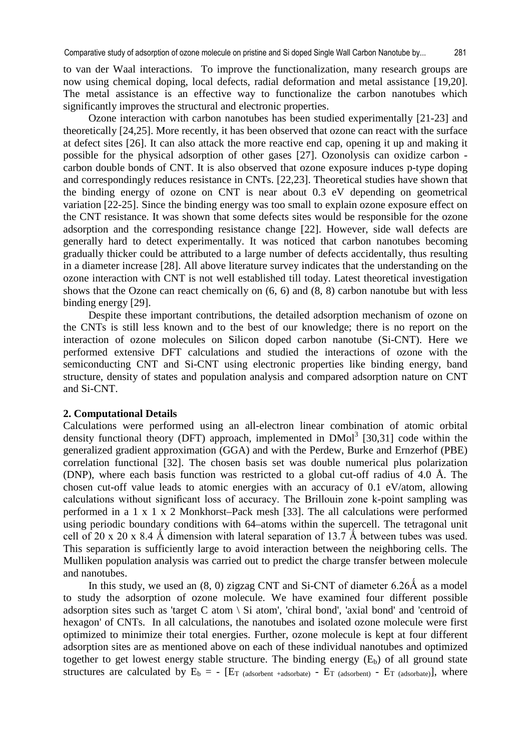to van der Waal interactions. To improve the functionalization, many research groups are now using chemical doping, local defects, radial deformation and metal assistance [19,20]. The metal assistance is an effective way to functionalize the carbon nanotubes which significantly improves the structural and electronic properties.

Ozone interaction with carbon nanotubes has been studied experimentally [21-23] and theoretically [24,25]. More recently, it has been observed that ozone can react with the surface at defect sites [26]. It can also attack the more reactive end cap, opening it up and making it possible for the physical adsorption of other gases [27]. Ozonolysis can oxidize carbon carbon double bonds of CNT. It is also observed that ozone exposure induces p-type doping and correspondingly reduces resistance in CNTs. [22,23]. Theoretical studies have shown that the binding energy of ozone on CNT is near about 0.3 eV depending on geometrical variation [22-25]. Since the binding energy was too small to explain ozone exposure effect on the CNT resistance. It was shown that some defects sites would be responsible for the ozone adsorption and the corresponding resistance change [22]. However, side wall defects are generally hard to detect experimentally. It was noticed that carbon nanotubes becoming gradually thicker could be attributed to a large number of defects accidentally, thus resulting in a diameter increase [28]. All above literature survey indicates that the understanding on the ozone interaction with CNT is not well established till today. Latest theoretical investigation shows that the Ozone can react chemically on (6, 6) and (8, 8) carbon nanotube but with less binding energy [29].

Despite these important contributions, the detailed adsorption mechanism of ozone on the CNTs is still less known and to the best of our knowledge; there is no report on the interaction of ozone molecules on Silicon doped carbon nanotube (Si-CNT). Here we performed extensive DFT calculations and studied the interactions of ozone with the semiconducting CNT and Si-CNT using electronic properties like binding energy, band structure, density of states and population analysis and compared adsorption nature on CNT and Si-CNT.

## **2. Computational Details**

Calculations were performed using an all-electron linear combination of atomic orbital density functional theory (DFT) approach, implemented in  $DMol<sup>3</sup>$  [30,31] code within the generalized gradient approximation (GGA) and with the Perdew, Burke and Ernzerhof (PBE) correlation functional [32]. The chosen basis set was double numerical plus polarization (DNP), where each basis function was restricted to a global cut-off radius of 4.0 Å. The chosen cut-off value leads to atomic energies with an accuracy of 0.1 eV/atom, allowing calculations without significant loss of accuracy. The Brillouin zone k-point sampling was performed in a 1 x 1 x 2 Monkhorst–Pack mesh [33]. The all calculations were performed using periodic boundary conditions with 64–atoms within the supercell. The tetragonal unit cell of 20 x 20 x 8.4 Å dimension with lateral separation of 13.7 Å between tubes was used. This separation is sufficiently large to avoid interaction between the neighboring cells. The Mulliken population analysis was carried out to predict the charge transfer between molecule and nanotubes.

In this study, we used an  $(8, 0)$  zigzag CNT and Si-CNT of diameter  $6.26\text{\AA}$  as a model to study the adsorption of ozone molecule. We have examined four different possible adsorption sites such as 'target C atom  $\setminus$  Si atom', 'chiral bond', 'axial bond' and 'centroid of hexagon' of CNTs. In all calculations, the nanotubes and isolated ozone molecule were first optimized to minimize their total energies. Further, ozone molecule is kept at four different adsorption sites are as mentioned above on each of these individual nanotubes and optimized together to get lowest energy stable structure. The binding energy  $(E_b)$  of all ground state structures are calculated by  $E_b = - [E_T \text{ (adsorbate)} - E_T \text{ (adsorbent)} - E_T \text{ (adsorbate)}], where$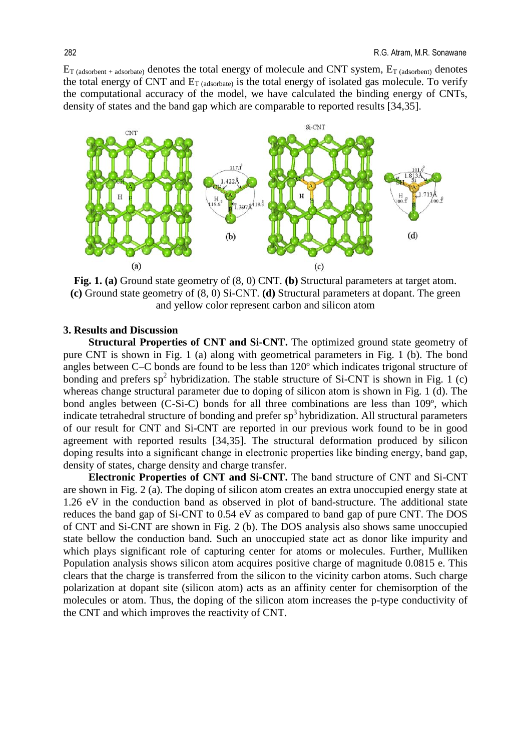$E_{T \text{ (adsor bent + adsorbate)}}$  denotes the total energy of molecule and CNT system,  $E_{T \text{ (adsor bent)}}$  denotes the total energy of CNT and  $E_{T \text{ (adsorbate)}}$  is the total energy of isolated gas molecule. To verify the computational accuracy of the model, we have calculated the binding energy of CNTs, density of states and the band gap which are comparable to reported results [34,35].



**Fig. 1. (a)** Ground state geometry of (8, 0) CNT. **(b)** Structural parameters at target atom. **(c)** Ground state geometry of (8, 0) Si-CNT. **(d)** Structural parameters at dopant. The green and yellow color represent carbon and silicon atom

### **3. Results and Discussion**

**Structural Properties of CNT and Si-CNT.** The optimized ground state geometry of pure CNT is shown in Fig. 1 (a) along with geometrical parameters in Fig. 1 (b). The bond angles between C–C bonds are found to be less than 120º which indicates trigonal structure of bonding and prefers  $sp^2$  hybridization. The stable structure of Si-CNT is shown in Fig. 1 (c) whereas change structural parameter due to doping of silicon atom is shown in Fig. 1 (d). The bond angles between (C-Si-C) bonds for all three combinations are less than 109º, which indicate tetrahedral structure of bonding and prefer  $sp<sup>3</sup>$  hybridization. All structural parameters of our result for CNT and Si-CNT are reported in our previous work found to be in good agreement with reported results [34,35]. The structural deformation produced by silicon doping results into a significant change in electronic properties like binding energy, band gap, density of states, charge density and charge transfer.

**Electronic Properties of CNT and Si-CNT.** The band structure of CNT and Si-CNT are shown in Fig. 2 (a). The doping of silicon atom creates an extra unoccupied energy state at 1.26 eV in the conduction band as observed in plot of band-structure. The additional state reduces the band gap of Si-CNT to 0.54 eV as compared to band gap of pure CNT. The DOS of CNT and Si-CNT are shown in Fig. 2 (b). The DOS analysis also shows same unoccupied state bellow the conduction band. Such an unoccupied state act as donor like impurity and which plays significant role of capturing center for atoms or molecules. Further, Mulliken Population analysis shows silicon atom acquires positive charge of magnitude 0.0815 e. This clears that the charge is transferred from the silicon to the vicinity carbon atoms. Such charge polarization at dopant site (silicon atom) acts as an affinity center for chemisorption of the molecules or atom. Thus, the doping of the silicon atom increases the p-type conductivity of the CNT and which improves the reactivity of CNT.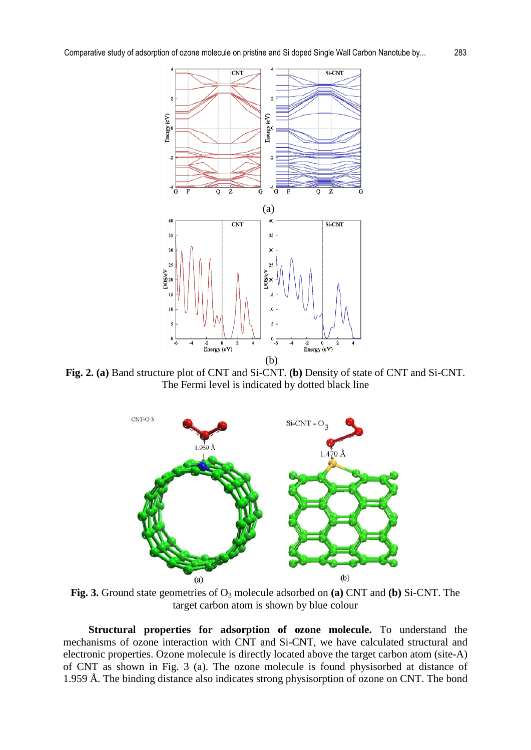

**Fig. 2. (a)** Band structure plot of CNT and Si-CNT. **(b)** Density of state of CNT and Si-CNT. The Fermi level is indicated by dotted black line



Fig. 3. Ground state geometries of O<sub>3</sub> molecule adsorbed on **(a)** CNT and **(b)** Si-CNT. The target carbon atom is shown by blue colour

**Structural properties for adsorption of ozone molecule.** To understand the mechanisms of ozone interaction with CNT and Si-CNT, we have calculated structural and electronic properties. Ozone molecule is directly located above the target carbon atom (site-A) of CNT as shown in Fig. 3 (a). The ozone molecule is found physisorbed at distance of 1.959 Å. The binding distance also indicates strong physisorption of ozone on CNT. The bond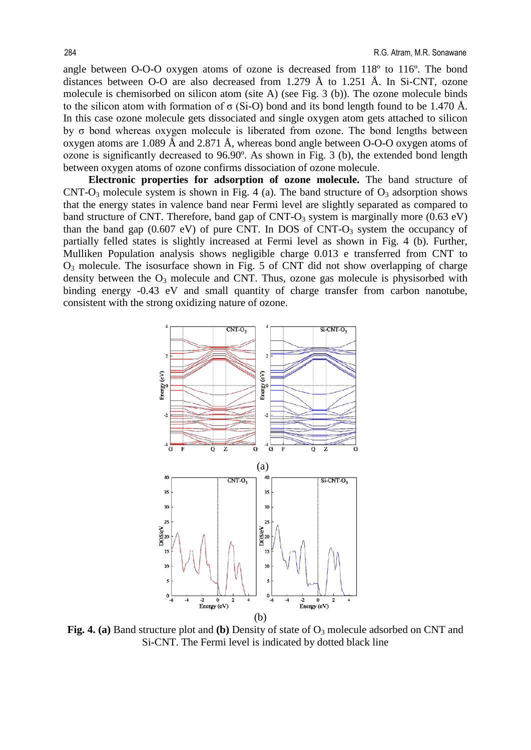angle between O-O-O oxygen atoms of ozone is decreased from 118º to 116º. The bond distances between O-O are also decreased from 1.279 Å to 1.251 Å. In Si-CNT, ozone molecule is chemisorbed on silicon atom (site A) (see Fig. 3 (b)). The ozone molecule binds to the silicon atom with formation of  $\sigma$  (Si-O) bond and its bond length found to be 1.470 Å. In this case ozone molecule gets dissociated and single oxygen atom gets attached to silicon by σ bond whereas oxygen molecule is liberated from ozone. The bond lengths between oxygen atoms are 1.089 Å and 2.871 Å, whereas bond angle between O-O-O oxygen atoms of ozone is significantly decreased to 96.90º. As shown in Fig. 3 (b), the extended bond length between oxygen atoms of ozone confirms dissociation of ozone molecule.

**Electronic properties for adsorption of ozone molecule.** The band structure of CNT-O<sub>3</sub> molecule system is shown in Fig. 4 (a). The band structure of  $O_3$  adsorption shows that the energy states in valence band near Fermi level are slightly separated as compared to band structure of CNT. Therefore, band gap of CNT- $O_3$  system is marginally more (0.63 eV) than the band gap  $(0.607 \text{ eV})$  of pure CNT. In DOS of CNT-O<sub>3</sub> system the occupancy of partially felled states is slightly increased at Fermi level as shown in Fig. 4 (b). Further, Mulliken Population analysis shows negligible charge 0.013 e transferred from CNT to  $O_3$  molecule. The isosurface shown in Fig. 5 of CNT did not show overlapping of charge density between the  $O_3$  molecule and CNT. Thus, ozone gas molecule is physisorbed with binding energy -0.43 eV and small quantity of charge transfer from carbon nanotube, consistent with the strong oxidizing nature of ozone.



**Fig. 4. (a)** Band structure plot and **(b)** Density of state of  $O_3$  molecule adsorbed on CNT and Si-CNT. The Fermi level is indicated by dotted black line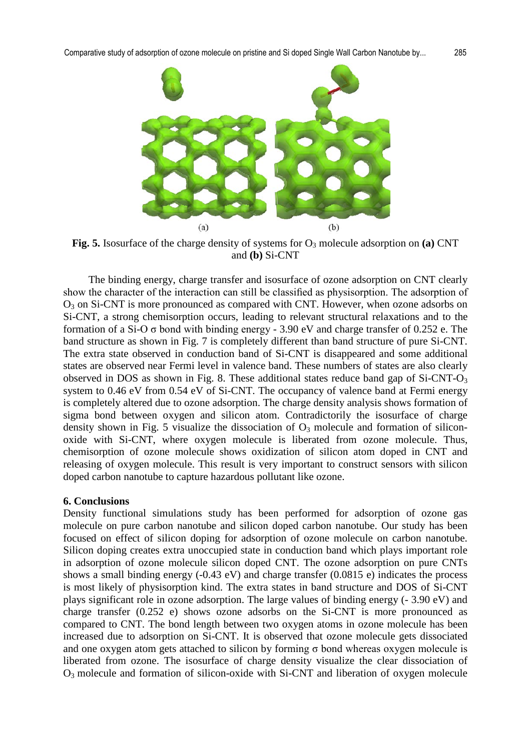

**Fig. 5.** Isosurface of the charge density of systems for  $O_3$  molecule adsorption on **(a)** CNT and **(b)** Si-CNT

The binding energy, charge transfer and isosurface of ozone adsorption on CNT clearly show the character of the interaction can still be classified as physisorption. The adsorption of O3 on Si-CNT is more pronounced as compared with CNT. However, when ozone adsorbs on Si-CNT, a strong chemisorption occurs, leading to relevant structural relaxations and to the formation of a Si-O  $\sigma$  bond with binding energy - 3.90 eV and charge transfer of 0.252 e. The band structure as shown in Fig. 7 is completely different than band structure of pure Si-CNT. The extra state observed in conduction band of Si-CNT is disappeared and some additional states are observed near Fermi level in valence band. These numbers of states are also clearly observed in DOS as shown in Fig. 8. These additional states reduce band gap of  $Si-CNT-O<sub>3</sub>$ system to 0.46 eV from 0.54 eV of Si-CNT. The occupancy of valence band at Fermi energy is completely altered due to ozone adsorption. The charge density analysis shows formation of sigma bond between oxygen and silicon atom. Contradictorily the isosurface of charge density shown in Fig. 5 visualize the dissociation of  $O_3$  molecule and formation of siliconoxide with Si-CNT, where oxygen molecule is liberated from ozone molecule. Thus, chemisorption of ozone molecule shows oxidization of silicon atom doped in CNT and releasing of oxygen molecule. This result is very important to construct sensors with silicon doped carbon nanotube to capture hazardous pollutant like ozone.

## **6. Conclusions**

Density functional simulations study has been performed for adsorption of ozone gas molecule on pure carbon nanotube and silicon doped carbon nanotube. Our study has been focused on effect of silicon doping for adsorption of ozone molecule on carbon nanotube. Silicon doping creates extra unoccupied state in conduction band which plays important role in adsorption of ozone molecule silicon doped CNT. The ozone adsorption on pure CNTs shows a small binding energy (-0.43 eV) and charge transfer (0.0815 e) indicates the process is most likely of physisorption kind. The extra states in band structure and DOS of Si-CNT plays significant role in ozone adsorption. The large values of binding energy (- 3.90 eV) and charge transfer (0.252 e) shows ozone adsorbs on the Si-CNT is more pronounced as compared to CNT. The bond length between two oxygen atoms in ozone molecule has been increased due to adsorption on Si-CNT. It is observed that ozone molecule gets dissociated and one oxygen atom gets attached to silicon by forming  $\sigma$  bond whereas oxygen molecule is liberated from ozone. The isosurface of charge density visualize the clear dissociation of  $O_3$  molecule and formation of silicon-oxide with Si-CNT and liberation of oxygen molecule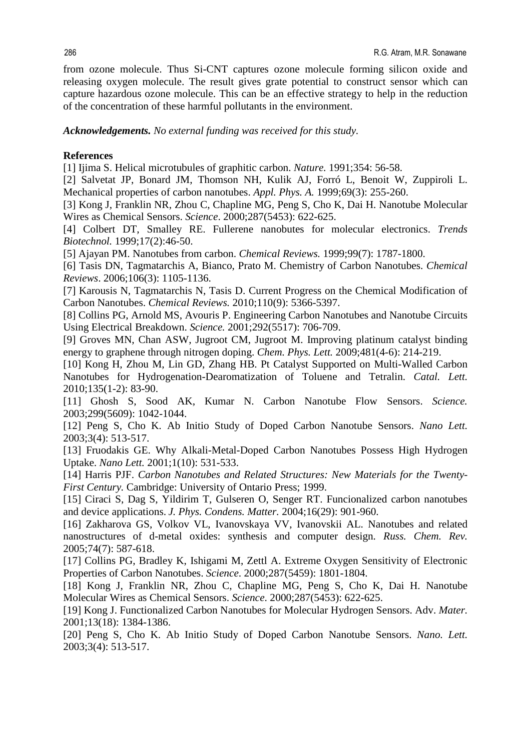from ozone molecule. Thus Si-CNT captures ozone molecule forming silicon oxide and releasing oxygen molecule. The result gives grate potential to construct sensor which can capture hazardous ozone molecule. This can be an effective strategy to help in the reduction of the concentration of these harmful pollutants in the environment.

*Acknowledgements. No external funding was received for this study.* 

## **References**

[1] Ijima S. Helical microtubules of graphitic carbon. *Nature.* 1991;354: 56-58.

[2] Salvetat JP, Bonard JM, Thomson NH, Kulik AJ, Forró L, Benoit W, Zuppiroli L. Mechanical properties of carbon nanotubes. *Appl. Phys. A.* 1999;69(3): 255-260.

[3] Kong J, Franklin NR, Zhou C, Chapline MG, Peng S, Cho K, Dai H. Nanotube Molecular Wires as Chemical Sensors. *Science*. 2000;287(5453): 622-625.

[4] Colbert DT, Smalley RE. Fullerene nanobutes for molecular electronics. *Trends Biotechnol.* 1999;17(2):46-50.

[5] Ajayan PM. Nanotubes from carbon. *Chemical Reviews.* 1999;99(7): 1787-1800.

[6] Tasis DN, Tagmatarchis A, Bianco, Prato M. [Chemistry of Carbon Nanotubes.](https://pubs.acs.org/doi/full/10.1021/cr050569o) *Chemical Reviews*. 2006;106(3): 1105-1136.

[7] Karousis N, Tagmatarchis N, Tasis D. [Current Progress on the Chemical Modification of](https://pubs.acs.org/doi/full/10.1021/cr100018g)  [Carbon Nanotubes.](https://pubs.acs.org/doi/full/10.1021/cr100018g) *Chemical Reviews.* 2010;110(9): 5366-5397.

[8] Collins PG, Arnold MS, Avouris P. Engineering Carbon Nanotubes and Nanotube Circuits Using Electrical Breakdown. *Science.* 2001;292(5517): 706-709.

[9] Groves MN, Chan ASW, Jugroot CM, Jugroot M. Improving platinum catalyst binding energy to graphene through nitrogen doping. *Chem. Phys. Lett.* 2009;481(4-6): 214-219.

[10] Kong H, Zhou M, Lin GD, Zhang HB. Pt Catalyst Supported on Multi-Walled Carbon Nanotubes for Hydrogenation-Dearomatization of Toluene and Tetralin. *Catal. Lett.* 2010;135(1-2): 83-90.

[11] Ghosh S, Sood AK, Kumar N. Carbon Nanotube Flow Sensors. *Science.* 2003;299(5609): 1042-1044.

[12] Peng S, Cho K. [Ab Initio Study of Doped Carbon Nanotube Sensors.](https://pubs.acs.org/doi/full/10.1021/nl034064u) *Nano Lett.* 2003;3(4): 513-517.

[13] Fruodakis GE. Why Alkali-Metal-Doped Carbon Nanotubes Possess High Hydrogen [Uptake.](https://pubs.acs.org/doi/full/10.1021/nl0155983) *Nano Lett.* 2001;1(10): 531-533.

[14] Harris PJF. *Carbon Nanotubes and Related Structures: New Materials for the Twenty-First Century.* Cambridge: University of Ontario Press; 1999.

[15] Ciraci S, Dag S, Yildirim T, Gulseren O, Senger RT. Funcionalized carbon nanotubes and device applications. *J. Phys. Condens. Matter.* 2004;16(29): 901-960.

[16] Zakharova GS, Volkov VL, Ivanovskaya VV, Ivanovskii AL. Nanotubes and related nanostructures of d-metal oxides: synthesis and computer design. *Russ. Chem. Rev.*  2005;74(7): 587-618.

[17] Collins PG, Bradley K, Ishigami M, Zettl A. Extreme Oxygen Sensitivity of Electronic Properties of Carbon Nanotubes. *Science*. 2000;287(5459): 1801-1804.

[18] Kong J, Franklin NR, Zhou C, Chapline MG, Peng S, Cho K, Dai H. Nanotube Molecular Wires as Chemical Sensors. *Science*. 2000;287(5453): 622-625.

[19] Kong J. Functionalized Carbon Nanotubes for Molecular Hydrogen Sensors. Adv. *Mater.* 2001;13(18): 1384-1386.

[20] Peng S, Cho K. Ab Initio Study of Doped Carbon Nanotube Sensors. *Nano. Lett.* 2003;3(4): 513-517.